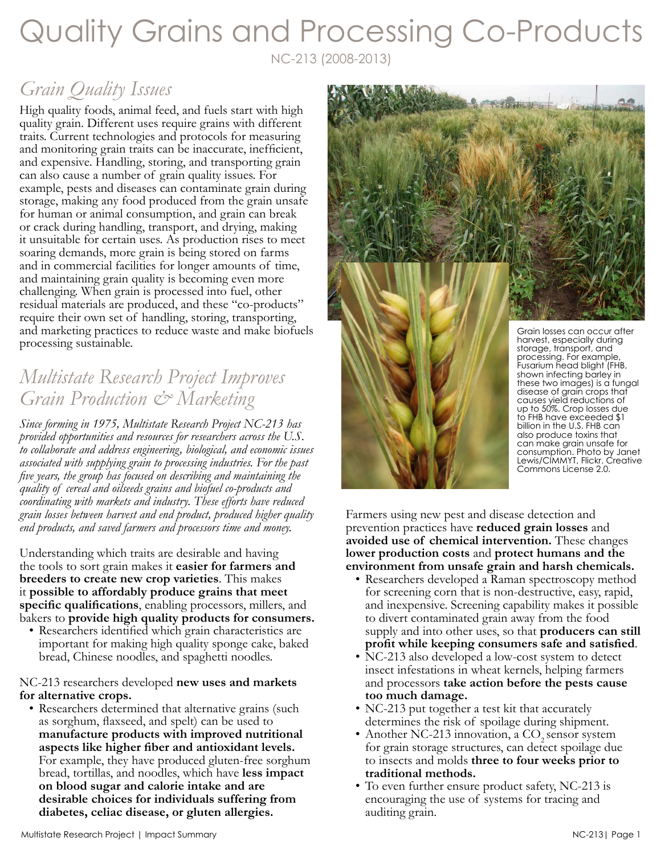# Quality Grains and Processing Co-Products

NC-213 (2008-2013)

## *Grain Quality Issues*

High quality foods, animal feed, and fuels start with high quality grain. Different uses require grains with different traits. Current technologies and protocols for measuring and monitoring grain traits can be inaccurate, inefficient, and expensive. Handling, storing, and transporting grain can also cause a number of grain quality issues. For example, pests and diseases can contaminate grain during storage, making any food produced from the grain unsafe for human or animal consumption, and grain can break or crack during handling, transport, and drying, making it unsuitable for certain uses. As production rises to meet soaring demands, more grain is being stored on farms and in commercial facilities for longer amounts of time, and maintaining grain quality is becoming even more challenging. When grain is processed into fuel, other residual materials are produced, and these "co-products" require their own set of handling, storing, transporting, and marketing practices to reduce waste and make biofuels processing sustainable.

### *Multistate Research Project Improves Grain Production & Marketing*

*Since forming in 1975, Multistate Research Project NC-213 has provided opportunities and resources for researchers across the U.S. to collaborate and address engineering, biological, and economic issues associated with supplying grain to processing industries. For the past five years, the group has focused on describing and maintaining the quality of cereal and oilseeds grains and biofuel co-products and coordinating with markets and industry. These efforts have reduced grain losses between harvest and end product, produced higher quality end products, and saved farmers and processors time and money.*

Understanding which traits are desirable and having the tools to sort grain makes it **easier for farmers and breeders to create new crop varieties**. This makes it **possible to affordably produce grains that meet specific qualifications**, enabling processors, millers, and bakers to **provide high quality products for consumers.**

• Researchers identified which grain characteristics are important for making high quality sponge cake, baked bread, Chinese noodles, and spaghetti noodles.

NC-213 researchers developed **new uses and markets for alternative crops.** 

• Researchers determined that alternative grains (such as sorghum, flaxseed, and spelt) can be used to **manufacture products with improved nutritional aspects like higher fiber and antioxidant levels.**  For example, they have produced gluten-free sorghum bread, tortillas, and noodles, which have **less impact on blood sugar and calorie intake and are desirable choices for individuals suffering from diabetes, celiac disease, or gluten allergies.** 



up to 50%. Crop losses due to FHB have exceeded \$1 billion in the U.S. FHB can also produce toxins that can make grain unsafe for consumption. Photo by Janet Lewis/CIMMYT, Flickr. Creative Commons License 2.0.

Farmers using new pest and disease detection and prevention practices have **reduced grain losses** and **avoided use of chemical intervention.** These changes **lower production costs** and **protect humans and the environment from unsafe grain and harsh chemicals.** 

- Researchers developed a Raman spectroscopy method for screening corn that is non-destructive, easy, rapid, and inexpensive. Screening capability makes it possible to divert contaminated grain away from the food supply and into other uses, so that **producers can still**
- **profit while keeping consumers safe and satisfied**. NC-213 also developed a low-cost system to detect insect infestations in wheat kernels, helping farmers and processors **take action before the pests cause too much damage.**
- NC-213 put together a test kit that accurately determines the risk of spoilage during shipment.
- Another NC-213 innovation, a  $CO<sub>2</sub>$  sensor system for grain storage structures, can detect spoilage due to insects and molds **three to four weeks prior to traditional methods.**
- To even further ensure product safety, NC-213 is encouraging the use of systems for tracing and auditing grain.